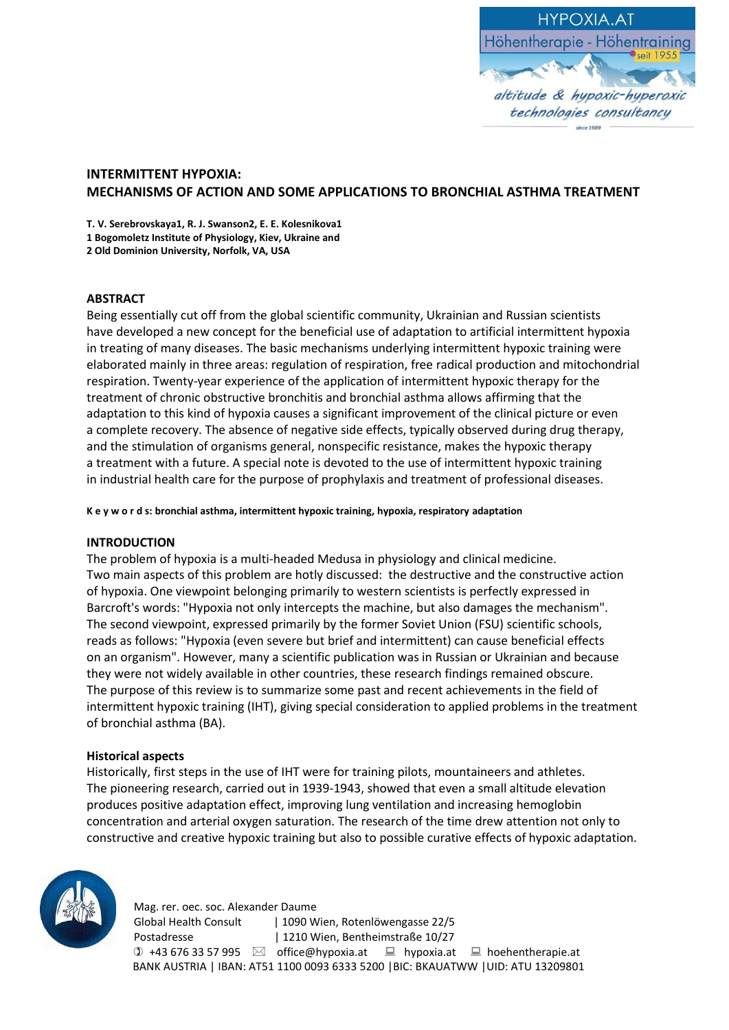

# **INTERMITTENT HYPOXIA: MECHANISMS OF ACTION AND SOME APPLICATIONS TO BRONCHIAL ASTHMA TREATMENT**

**T. V. Serebrovskaya1, R. J. Swanson2, E. E. Kolesnikova1 1 Bogomoletz Institute of Physiology, Kiev, Ukraine and 2 Old Dominion University, Norfolk, VA, USA**

### **ABSTRACT**

Being essentially cut off from the global scientific community, Ukrainian and Russian scientists have developed a new concept for the beneficial use of adaptation to artificial intermittent hypoxia in treating of many diseases. The basic mechanisms underlying intermittent hypoxic training were elaborated mainly in three areas: regulation of respiration, free radical production and mitochondrial respiration. Twenty-year experience of the application of intermittent hypoxic therapy for the treatment of chronic obstructive bronchitis and bronchial asthma allows affirming that the adaptation to this kind of hypoxia causes a significant improvement of the clinical picture or even a complete recovery. The absence of negative side effects, typically observed during drug therapy, and the stimulation of organisms general, nonspecific resistance, makes the hypoxic therapy a treatment with a future. A special note is devoted to the use of intermittent hypoxic training in industrial health care for the purpose of prophylaxis and treatment of professional diseases.

**K e y w o r d s: bronchial asthma, intermittent hypoxic training, hypoxia, respiratory adaptation**

### **INTRODUCTION**

The problem of hypoxia is a multi-headed Medusa in physiology and clinical medicine. Two main aspects of this problem are hotly discussed: the destructive and the constructive action of hypoxia. One viewpoint belonging primarily to western scientists is perfectly expressed in Barcroft's words: "Hypoxia not only intercepts the machine, but also damages the mechanism". The second viewpoint, expressed primarily by the former Soviet Union (FSU) scientific schools, reads as follows: "Hypoxia (even severe but brief and intermittent) can cause beneficial effects on an organism". However, many a scientific publication was in Russian or Ukrainian and because they were not widely available in other countries, these research findings remained obscure. The purpose of this review is to summarize some past and recent achievements in the field of intermittent hypoxic training (IHT), giving special consideration to applied problems in the treatment of bronchial asthma (BA).

### **Historical aspects**

Historically, first steps in the use of IHT were for training pilots, mountaineers and athletes. The pioneering research, carried out in 1939-1943, showed that even a small altitude elevation produces positive adaptation effect, improving lung ventilation and increasing hemoglobin concentration and arterial oxygen saturation. The research of the time drew attention not only to constructive and creative hypoxic training but also to possible curative effects of hypoxic adaptation.



 Mag. rer. oec. soc. Alexander Daume Global Health Consult | 1090 Wien, Rotenlöwengasse 22/5 Postadresse | 1210 Wien, Bentheimstraße 10/27  $\textcircled{1}$  +43 676 33 57 995  $\textcircled{2}$  office@hypoxia.at  $\textcircled{1}$  hypoxia.at  $\textcircled{1}$  hoehentherapie.at BANK AUSTRIA | IBAN: AT51 1100 0093 6333 5200 |BIC: BKAUATWW |UID: ATU 13209801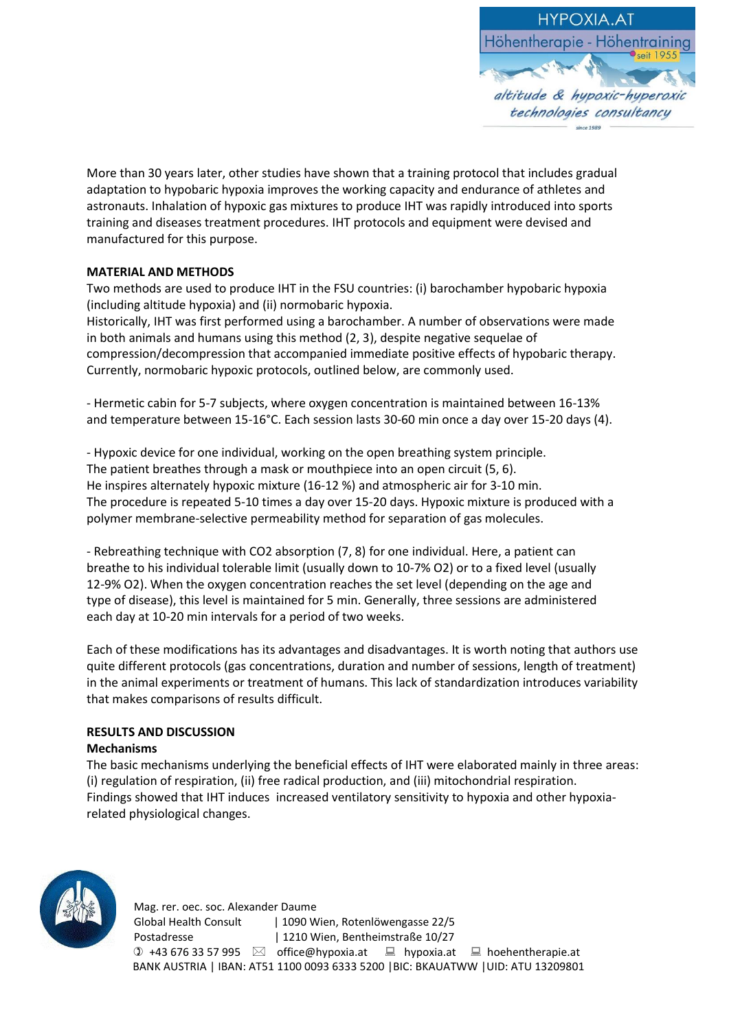

More than 30 years later, other studies have shown that a training protocol that includes gradual adaptation to hypobaric hypoxia improves the working capacity and endurance of athletes and astronauts. Inhalation of hypoxic gas mixtures to produce IHT was rapidly introduced into sports training and diseases treatment procedures. IHT protocols and equipment were devised and manufactured for this purpose.

## **MATERIAL AND METHODS**

Two methods are used to produce IHT in the FSU countries: (i) barochamber hypobaric hypoxia (including altitude hypoxia) and (ii) normobaric hypoxia.

Historically, IHT was first performed using a barochamber. A number of observations were made in both animals and humans using this method (2, 3), despite negative sequelae of compression/decompression that accompanied immediate positive effects of hypobaric therapy. Currently, normobaric hypoxic protocols, outlined below, are commonly used.

- Hermetic cabin for 5-7 subjects, where oxygen concentration is maintained between 16-13% and temperature between 15-16°C. Each session lasts 30-60 min once a day over 15-20 days (4).

- Hypoxic device for one individual, working on the open breathing system principle. The patient breathes through a mask or mouthpiece into an open circuit (5, 6). He inspires alternately hypoxic mixture (16-12 %) and atmospheric air for 3-10 min. The procedure is repeated 5-10 times a day over 15-20 days. Hypoxic mixture is produced with a polymer membrane-selective permeability method for separation of gas molecules.

- Rebreathing technique with CO2 absorption (7, 8) for one individual. Here, a patient can breathe to his individual tolerable limit (usually down to 10-7% O2) or to a fixed level (usually 12-9% O2). When the oxygen concentration reaches the set level (depending on the age and type of disease), this level is maintained for 5 min. Generally, three sessions are administered each day at 10-20 min intervals for a period of two weeks.

Each of these modifications has its advantages and disadvantages. It is worth noting that authors use quite different protocols (gas concentrations, duration and number of sessions, length of treatment) in the animal experiments or treatment of humans. This lack of standardization introduces variability that makes comparisons of results difficult.

# **RESULTS AND DISCUSSION**

## **Mechanisms**

The basic mechanisms underlying the beneficial effects of IHT were elaborated mainly in three areas: (i) regulation of respiration, (ii) free radical production, and (iii) mitochondrial respiration. Findings showed that IHT induces increased ventilatory sensitivity to hypoxia and other hypoxiarelated physiological changes.

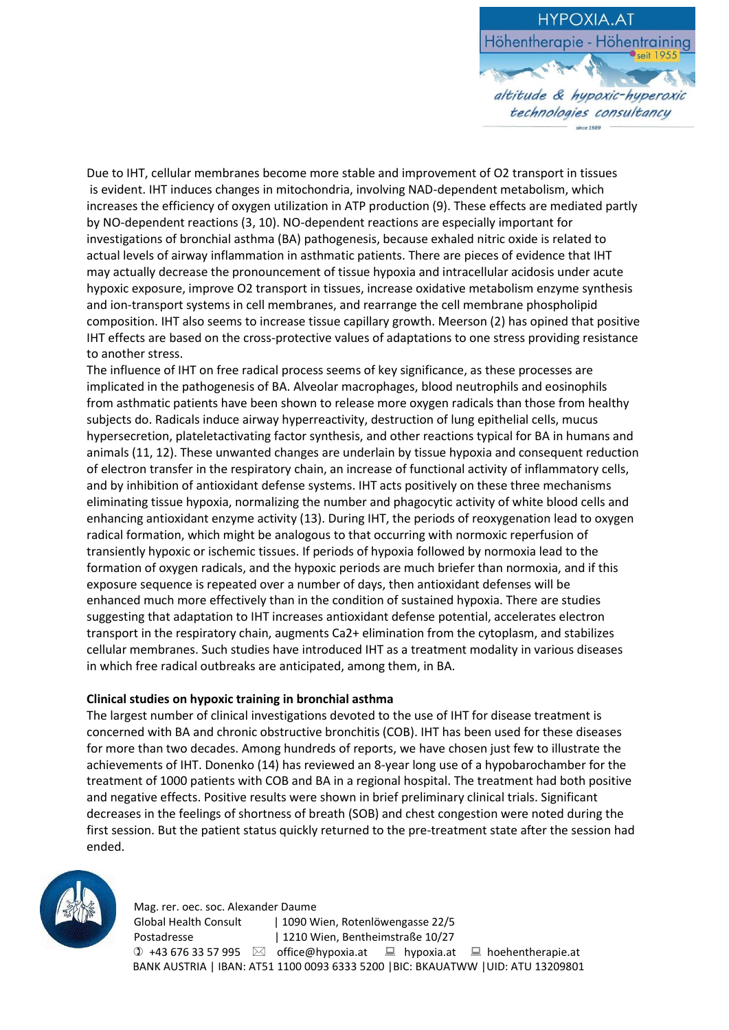

Due to IHT, cellular membranes become more stable and improvement of O2 transport in tissues is evident. IHT induces changes in mitochondria, involving NAD-dependent metabolism, which increases the efficiency of oxygen utilization in ATP production (9). These effects are mediated partly by NO-dependent reactions (3, 10). NO-dependent reactions are especially important for investigations of bronchial asthma (BA) pathogenesis, because exhaled nitric oxide is related to actual levels of airway inflammation in asthmatic patients. There are pieces of evidence that IHT may actually decrease the pronouncement of tissue hypoxia and intracellular acidosis under acute hypoxic exposure, improve O2 transport in tissues, increase oxidative metabolism enzyme synthesis and ion-transport systems in cell membranes, and rearrange the cell membrane phospholipid composition. IHT also seems to increase tissue capillary growth. Meerson (2) has opined that positive IHT effects are based on the cross-protective values of adaptations to one stress providing resistance to another stress.

The influence of IHT on free radical process seems of key significance, as these processes are implicated in the pathogenesis of BA. Alveolar macrophages, blood neutrophils and eosinophils from asthmatic patients have been shown to release more oxygen radicals than those from healthy subjects do. Radicals induce airway hyperreactivity, destruction of lung epithelial cells, mucus hypersecretion, plateletactivating factor synthesis, and other reactions typical for BA in humans and animals (11, 12). These unwanted changes are underlain by tissue hypoxia and consequent reduction of electron transfer in the respiratory chain, an increase of functional activity of inflammatory cells, and by inhibition of antioxidant defense systems. IHT acts positively on these three mechanisms eliminating tissue hypoxia, normalizing the number and phagocytic activity of white blood cells and enhancing antioxidant enzyme activity (13). During IHT, the periods of reoxygenation lead to oxygen radical formation, which might be analogous to that occurring with normoxic reperfusion of transiently hypoxic or ischemic tissues. If periods of hypoxia followed by normoxia lead to the formation of oxygen radicals, and the hypoxic periods are much briefer than normoxia, and if this exposure sequence is repeated over a number of days, then antioxidant defenses will be enhanced much more effectively than in the condition of sustained hypoxia. There are studies suggesting that adaptation to IHT increases antioxidant defense potential, accelerates electron transport in the respiratory chain, augments Ca2+ elimination from the cytoplasm, and stabilizes cellular membranes. Such studies have introduced IHT as a treatment modality in various diseases in which free radical outbreaks are anticipated, among them, in BA.

### **Clinical studies on hypoxic training in bronchial asthma**

The largest number of clinical investigations devoted to the use of IHT for disease treatment is concerned with BA and chronic obstructive bronchitis (COB). IHT has been used for these diseases for more than two decades. Among hundreds of reports, we have chosen just few to illustrate the achievements of IHT. Donenko (14) has reviewed an 8-year long use of a hypobarochamber for the treatment of 1000 patients with COB and BA in a regional hospital. The treatment had both positive and negative effects. Positive results were shown in brief preliminary clinical trials. Significant decreases in the feelings of shortness of breath (SOB) and chest congestion were noted during the first session. But the patient status quickly returned to the pre-treatment state after the session had ended.



 Mag. rer. oec. soc. Alexander Daume Global Health Consult | 1090 Wien, Rotenlöwengasse 22/5 Postadresse | 1210 Wien, Bentheimstraße 10/27  $\textcircled{1}$  +43 676 33 57 995  $\textcircled{2}$  office@hypoxia.at  $\textcircled{1}$  hypoxia.at  $\textcircled{1}$  hoehentherapie.at BANK AUSTRIA | IBAN: AT51 1100 0093 6333 5200 |BIC: BKAUATWW |UID: ATU 13209801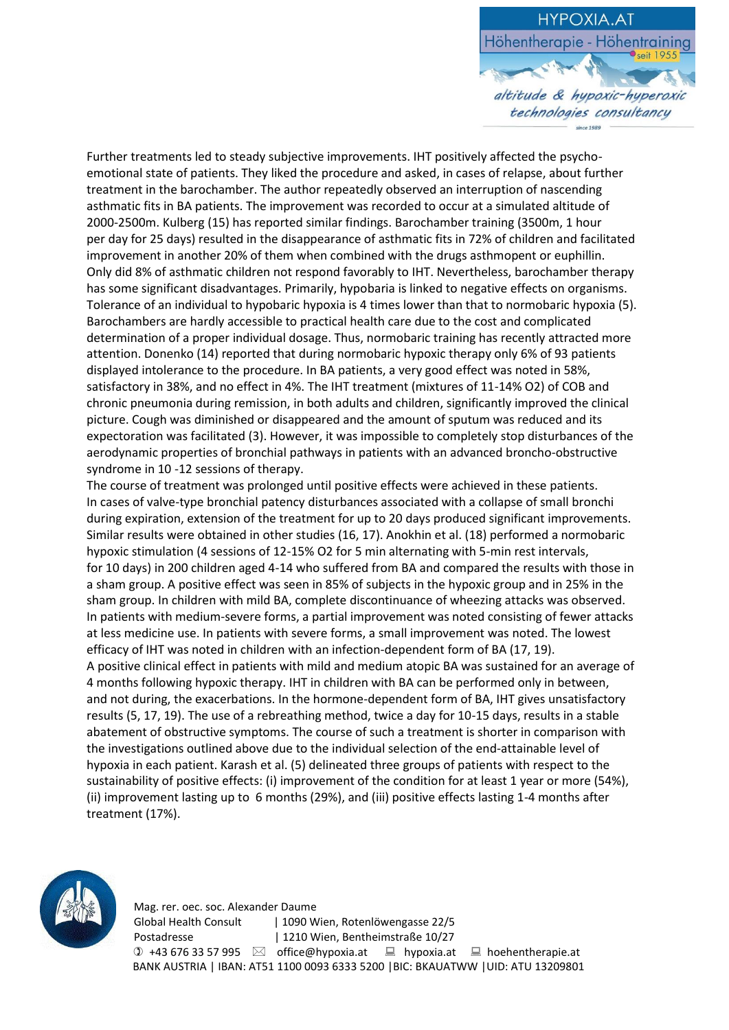

Further treatments led to steady subjective improvements. IHT positively affected the psychoemotional state of patients. They liked the procedure and asked, in cases of relapse, about further treatment in the barochamber. The author repeatedly observed an interruption of nascending asthmatic fits in BA patients. The improvement was recorded to occur at a simulated altitude of 2000-2500m. Kulberg (15) has reported similar findings. Barochamber training (3500m, 1 hour per day for 25 days) resulted in the disappearance of asthmatic fits in 72% of children and facilitated improvement in another 20% of them when combined with the drugs asthmopent or euphillin. Only did 8% of asthmatic children not respond favorably to IHT. Nevertheless, barochamber therapy has some significant disadvantages. Primarily, hypobaria is linked to negative effects on organisms. Tolerance of an individual to hypobaric hypoxia is 4 times lower than that to normobaric hypoxia (5). Barochambers are hardly accessible to practical health care due to the cost and complicated determination of a proper individual dosage. Thus, normobaric training has recently attracted more attention. Donenko (14) reported that during normobaric hypoxic therapy only 6% of 93 patients displayed intolerance to the procedure. In BA patients, a very good effect was noted in 58%, satisfactory in 38%, and no effect in 4%. The IHT treatment (mixtures of 11-14% O2) of COB and chronic pneumonia during remission, in both adults and children, significantly improved the clinical picture. Cough was diminished or disappeared and the amount of sputum was reduced and its expectoration was facilitated (3). However, it was impossible to completely stop disturbances of the aerodynamic properties of bronchial pathways in patients with an advanced broncho-obstructive syndrome in 10 -12 sessions of therapy.

The course of treatment was prolonged until positive effects were achieved in these patients. In cases of valve-type bronchial patency disturbances associated with a collapse of small bronchi during expiration, extension of the treatment for up to 20 days produced significant improvements. Similar results were obtained in other studies (16, 17). Anokhin et al. (18) performed a normobaric hypoxic stimulation (4 sessions of 12-15% O2 for 5 min alternating with 5-min rest intervals, for 10 days) in 200 children aged 4-14 who suffered from BA and compared the results with those in a sham group. A positive effect was seen in 85% of subjects in the hypoxic group and in 25% in the sham group. In children with mild BA, complete discontinuance of wheezing attacks was observed. In patients with medium-severe forms, a partial improvement was noted consisting of fewer attacks at less medicine use. In patients with severe forms, a small improvement was noted. The lowest efficacy of IHT was noted in children with an infection-dependent form of BA (17, 19). A positive clinical effect in patients with mild and medium atopic BA was sustained for an average of 4 months following hypoxic therapy. IHT in children with BA can be performed only in between, and not during, the exacerbations. In the hormone-dependent form of BA, IHT gives unsatisfactory results (5, 17, 19). The use of a rebreathing method, twice a day for 10-15 days, results in a stable abatement of obstructive symptoms. The course of such a treatment is shorter in comparison with the investigations outlined above due to the individual selection of the end-attainable level of hypoxia in each patient. Karash et al. (5) delineated three groups of patients with respect to the sustainability of positive effects: (i) improvement of the condition for at least 1 year or more (54%), (ii) improvement lasting up to 6 months (29%), and (iii) positive effects lasting 1-4 months after treatment (17%).

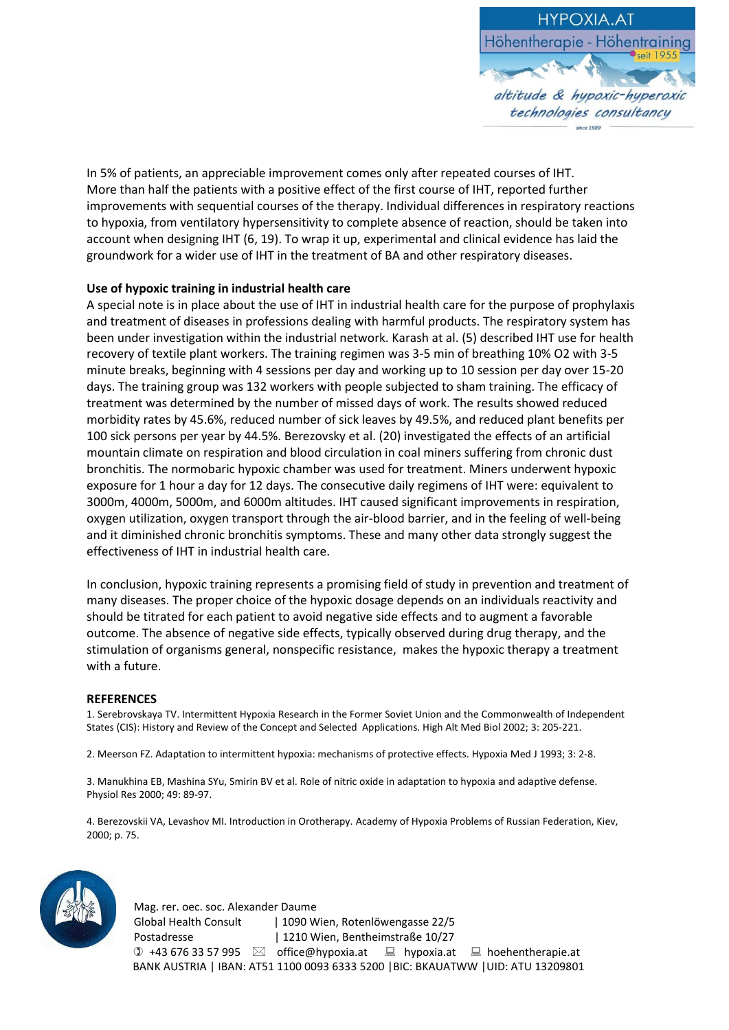

In 5% of patients, an appreciable improvement comes only after repeated courses of IHT. More than half the patients with a positive effect of the first course of IHT, reported further improvements with sequential courses of the therapy. Individual differences in respiratory reactions to hypoxia, from ventilatory hypersensitivity to complete absence of reaction, should be taken into account when designing IHT (6, 19). To wrap it up, experimental and clinical evidence has laid the groundwork for a wider use of IHT in the treatment of BA and other respiratory diseases.

## **Use of hypoxic training in industrial health care**

A special note is in place about the use of IHT in industrial health care for the purpose of prophylaxis and treatment of diseases in professions dealing with harmful products. The respiratory system has been under investigation within the industrial network. Karash at al. (5) described IHT use for health recovery of textile plant workers. The training regimen was 3-5 min of breathing 10% O2 with 3-5 minute breaks, beginning with 4 sessions per day and working up to 10 session per day over 15-20 days. The training group was 132 workers with people subjected to sham training. The efficacy of treatment was determined by the number of missed days of work. The results showed reduced morbidity rates by 45.6%, reduced number of sick leaves by 49.5%, and reduced plant benefits per 100 sick persons per year by 44.5%. Berezovsky et al. (20) investigated the effects of an artificial mountain climate on respiration and blood circulation in coal miners suffering from chronic dust bronchitis. The normobaric hypoxic chamber was used for treatment. Miners underwent hypoxic exposure for 1 hour a day for 12 days. The consecutive daily regimens of IHT were: equivalent to 3000m, 4000m, 5000m, and 6000m altitudes. IHT caused significant improvements in respiration, oxygen utilization, oxygen transport through the air-blood barrier, and in the feeling of well-being and it diminished chronic bronchitis symptoms. These and many other data strongly suggest the effectiveness of IHT in industrial health care.

In conclusion, hypoxic training represents a promising field of study in prevention and treatment of many diseases. The proper choice of the hypoxic dosage depends on an individuals reactivity and should be titrated for each patient to avoid negative side effects and to augment a favorable outcome. The absence of negative side effects, typically observed during drug therapy, and the stimulation of organisms general, nonspecific resistance, makes the hypoxic therapy a treatment with a future.

### **REFERENCES**

1. Serebrovskaya TV. Intermittent Hypoxia Research in the Former Soviet Union and the Commonwealth of Independent States (CIS): History and Review of the Concept and Selected Applications. High Alt Med Biol 2002; 3: 205-221.

2. Meerson FZ. Adaptation to intermittent hypoxia: mechanisms of protective effects. Hypoxia Med J 1993; 3: 2-8.

3. Manukhina EB, Mashina SYu, Smirin BV et al. Role of nitric oxide in adaptation to hypoxia and adaptive defense. Physiol Res 2000; 49: 89-97.

4. Berezovskii VA, Levashov MI. Introduction in Orotherapy. Academy of Hypoxia Problems of Russian Federation, Kiev, 2000; p. 75.